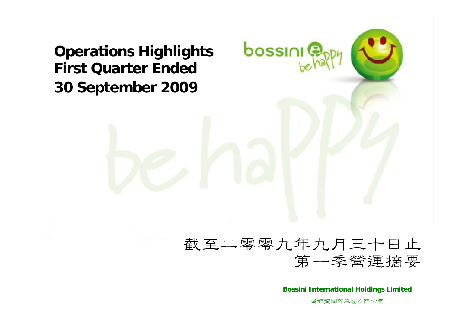**Operations Highlights First Quarter Ended30 September 2009**

## 截至二零零九年九月三十日止 第一季營運摘要

bossini<sup>®</sup>

**Bossini International Holdings Limited**

堡獅龍國際集團有限公司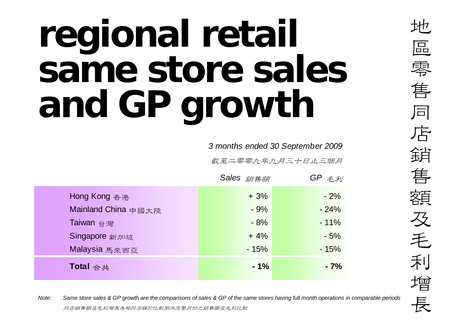## **regional retail same store sales and GP growth**

*3 months ended 30 September 2009*

截至二零零九年九月三十日止三個月

|                     | Sales 銷售額 |        | $GP \not\equiv \neq \neq$ |  |
|---------------------|-----------|--------|---------------------------|--|
| Hong Kong 香港        |           | $+3%$  | $-2%$                     |  |
| Mainland China 中國大陸 |           | $-9%$  | $-24%$                    |  |
| Taiwan 台灣           |           | $-8%$  | $-11%$                    |  |
| Singapore 新加坡       |           | $+4%$  | $-5%$                     |  |
| Malaysia 馬來西亞       |           | $-15%$ | $-15%$                    |  |
| Total 合共            |           | $-1%$  | $-7%$                     |  |

*Note:*<br>*Dote: Same store sales & GP growth are the comparisons of sales & GP of the same stores having full month operations in comparable periods***<br>同店銷售額及毛利增長為相同店舖於比較期內完整月份之銷售額及毛利比較**